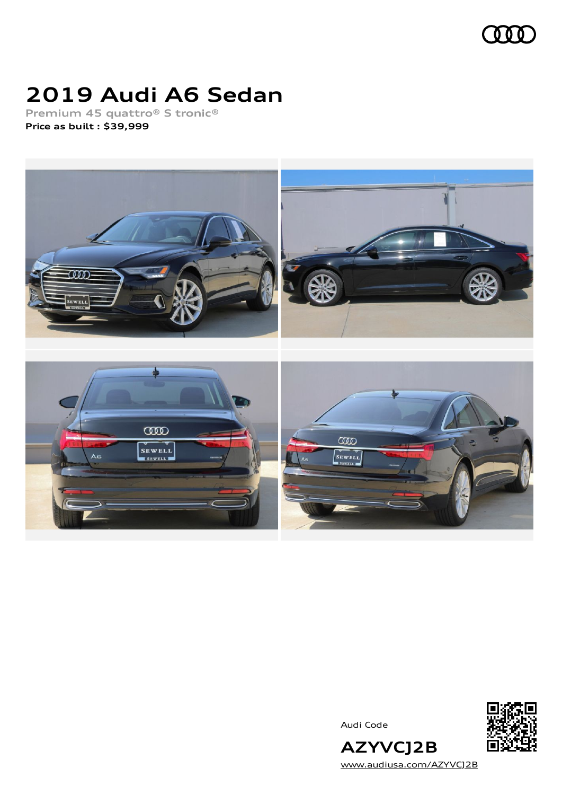

# **2019 Audi A6 Sedan**

**Premium 45 quattro® S tronic® Price as built [:](#page-8-0) \$39,999**



Audi Code



**AZYVCJ2B** [www.audiusa.com/AZYVCJ2B](https://www.audiusa.com/AZYVCJ2B)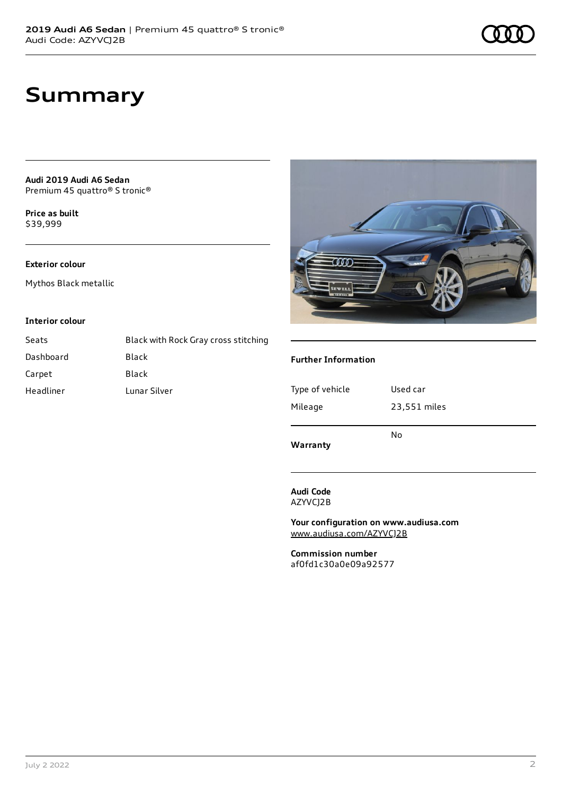**Audi 2019 Audi A6 Sedan** Premium 45 quattro® S tronic®

**Price as buil[t](#page-8-0)** \$39,999

### **Exterior colour**

Mythos Black metallic

#### **Interior colour**

| Seats     | Black with Rock Gray cross stitching |
|-----------|--------------------------------------|
| Dashboard | Black                                |
| Carpet    | Black                                |
| Headliner | Lunar Silver                         |



### **Further Information**

| Type of vehicle | Used car     |
|-----------------|--------------|
| Mileage         | 23,551 miles |
| Warranty        | No           |

#### **Audi Code** AZYVCJ2B

**Your configuration on www.audiusa.com** [www.audiusa.com/AZYVCJ2B](https://www.audiusa.com/AZYVCJ2B)

**Commission number** af0fd1c30a0e09a92577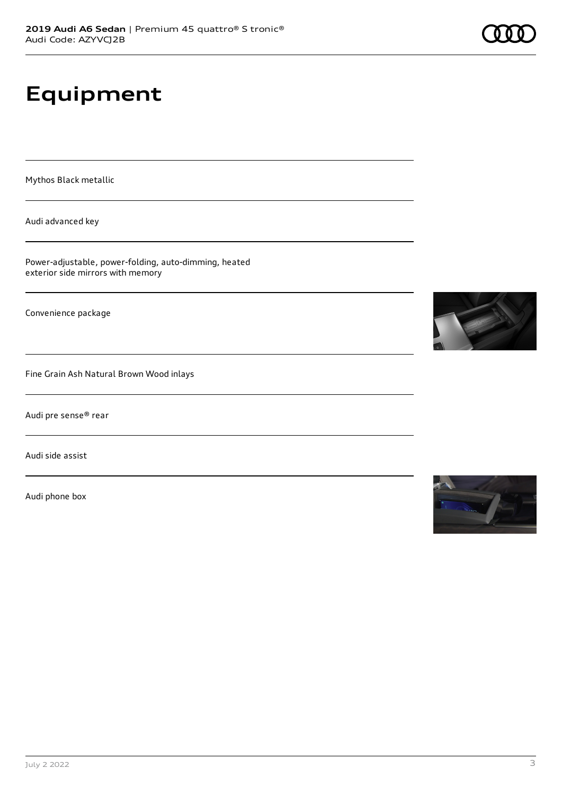# **Equipment**

Mythos Black metallic

Audi advanced key

Power-adjustable, power-folding, auto-dimming, heated exterior side mirrors with memory

Convenience package

Fine Grain Ash Natural Brown Wood inlays

Audi pre sense® rear

Audi side assist

Audi phone box





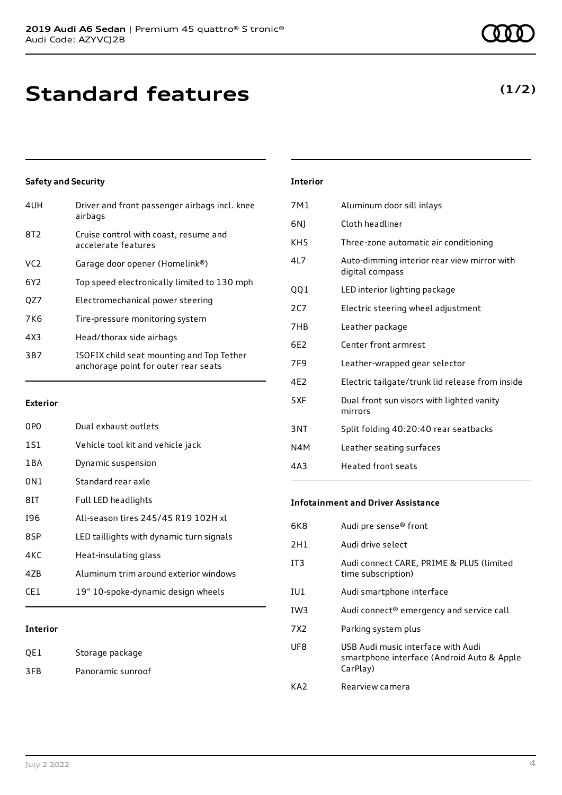# **Standard features**

## **Safety and Security**

| 4UH             | Driver and front passenger airbags incl. knee<br>airbags                          |
|-----------------|-----------------------------------------------------------------------------------|
| 8T <sub>2</sub> | Cruise control with coast, resume and<br>accelerate features                      |
| VC <sub>2</sub> | Garage door opener (Homelink®)                                                    |
| 6Y <sub>2</sub> | Top speed electronically limited to 130 mph                                       |
| QZ7             | Electromechanical power steering                                                  |
| <b>7K6</b>      | Tire-pressure monitoring system                                                   |
| 4X3             | Head/thorax side airbags                                                          |
| 3B7             | ISOFIX child seat mounting and Top Tether<br>anchorage point for outer rear seats |
|                 |                                                                                   |

#### **Exterior**

| 0P <sub>0</sub> | Dual exhaust outlets                     |
|-----------------|------------------------------------------|
| 1S1             | Vehicle tool kit and vehicle jack        |
| 1 B A           | Dynamic suspension                       |
| 0N1             | Standard rear axle                       |
| 81T             | Full LED headlights                      |
| 196             | All-season tires 245/45 R19 102H xl      |
| 8SP             | LED taillights with dynamic turn signals |
| 4KC             | Heat-insulating glass                    |
| 47B             | Aluminum trim around exterior windows    |
| CF1             | 19" 10-spoke-dynamic design wheels       |
|                 |                                          |

### **Interior**

| QE1 | Storage package   |
|-----|-------------------|
| 3FB | Panoramic sunroof |

### **Interior**

| 7M1             | Aluminum door sill inlays                                      |
|-----------------|----------------------------------------------------------------|
| 6N)             | Cloth headliner                                                |
| KH <sub>5</sub> | Three-zone automatic air conditioning                          |
| 417             | Auto-dimming interior rear view mirror with<br>digital compass |
| QQ1             | LED interior lighting package                                  |
| 2C7             | Electric steering wheel adjustment                             |
| 7H <sub>B</sub> | Leather package                                                |
| 6F2             | Center front armrest                                           |
| 7F <sub>9</sub> | Leather-wrapped gear selector                                  |
| 4F <sub>2</sub> | Electric tailgate/trunk lid release from inside                |
| 5XF             | Dual front sun visors with lighted vanity<br>mirrors           |
| 3NT             | Split folding 40:20:40 rear seatbacks                          |
| N4M             | Leather seating surfaces                                       |
| 4A3             | <b>Heated front seats</b>                                      |
|                 |                                                                |

#### **Infotainment and Driver Assistance**

| 6K8             | Audi pre sense <sup>®</sup> front                                                            |
|-----------------|----------------------------------------------------------------------------------------------|
| 2H1             | Audi drive select                                                                            |
| IT3             | Audi connect CARE, PRIME & PLUS (limited<br>time subscription)                               |
| IU1             | Audi smartphone interface                                                                    |
| IW <sub>3</sub> | Audi connect <sup>®</sup> emergency and service call                                         |
| 7X2             | Parking system plus                                                                          |
| UF8             | USB Audi music interface with Audi<br>smartphone interface (Android Auto & Apple<br>CarPlay) |
| KA7             | Rearview camera                                                                              |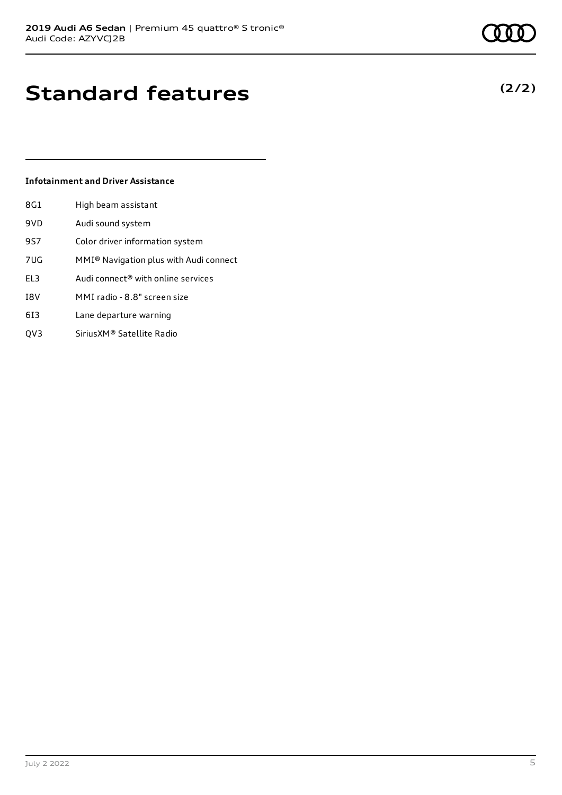# **Standard features**

### **Infotainment and Driver Assistance**

| 8G1 | High beam assistant                                |
|-----|----------------------------------------------------|
| 9VD | Audi sound system                                  |
| 9S7 | Color driver information system                    |
| 7UG | MMI <sup>®</sup> Navigation plus with Audi connect |
| EL3 | Audi connect® with online services                 |
| I8V | MMI radio - 8.8" screen size                       |
| 613 | Lane departure warning                             |
| OV3 | Sirius XM® Satellite Radio                         |

July 2 2022 5

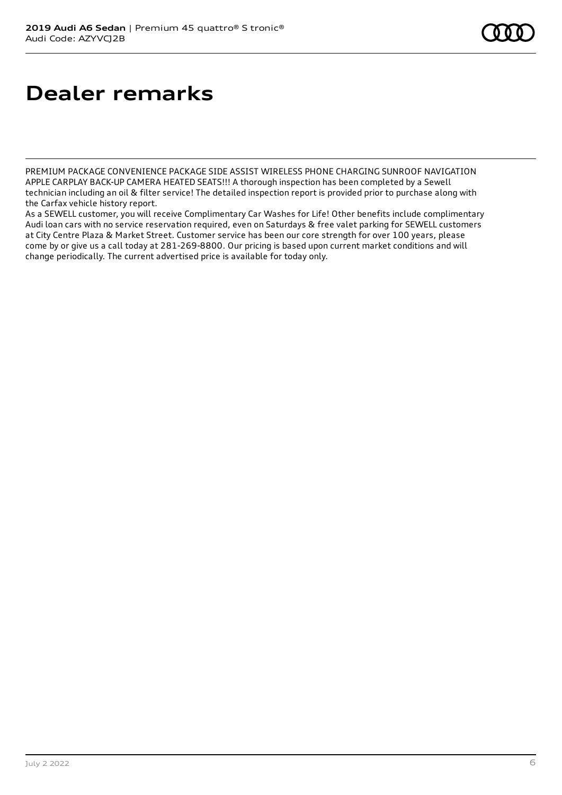# **Dealer remarks**

PREMIUM PACKAGE CONVENIENCE PACKAGE SIDE ASSIST WIRELESS PHONE CHARGING SUNROOF NAVIGATION APPLE CARPLAY BACK-UP CAMERA HEATED SEATS!!! A thorough inspection has been completed by a Sewell technician including an oil & filter service! The detailed inspection report is provided prior to purchase along with the Carfax vehicle history report.

As a SEWELL customer, you will receive Complimentary Car Washes for Life! Other benefits include complimentary Audi loan cars with no service reservation required, even on Saturdays & free valet parking for SEWELL customers at City Centre Plaza & Market Street. Customer service has been our core strength for over 100 years, please come by or give us a call today at 281-269-8800. Our pricing is based upon current market conditions and will change periodically. The current advertised price is available for today only.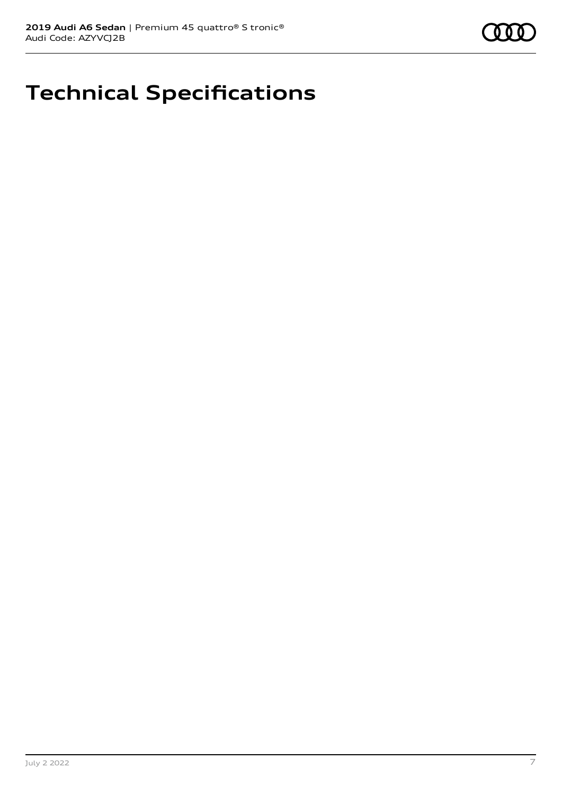

# **Technical Specifications**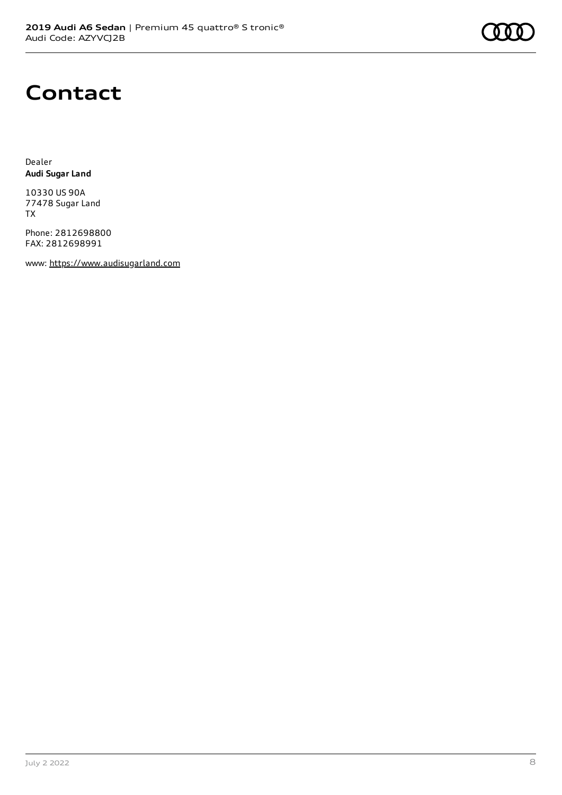## **Contact**

Dealer **Audi Sugar Land**

10330 US 90A 77478 Sugar Land TX

Phone: 2812698800 FAX: 2812698991

www: [https://www.audisugarland.com](https://www.audisugarland.com/)